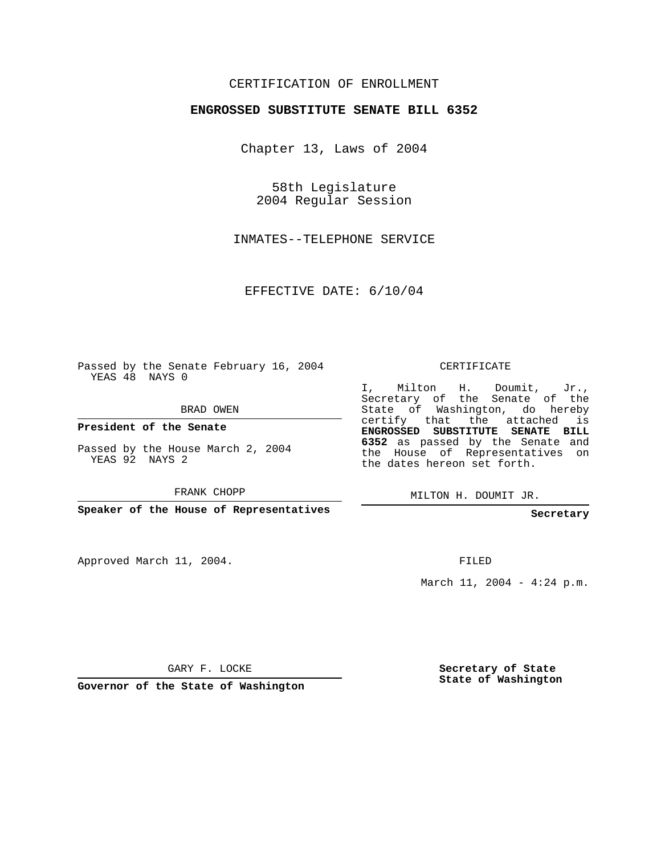## CERTIFICATION OF ENROLLMENT

## **ENGROSSED SUBSTITUTE SENATE BILL 6352**

Chapter 13, Laws of 2004

58th Legislature 2004 Regular Session

INMATES--TELEPHONE SERVICE

EFFECTIVE DATE: 6/10/04

Passed by the Senate February 16, 2004 YEAS 48 NAYS 0

BRAD OWEN

**President of the Senate**

Passed by the House March 2, 2004 YEAS 92 NAYS 2

FRANK CHOPP

**Speaker of the House of Representatives**

Approved March 11, 2004.

CERTIFICATE

I, Milton H. Doumit, Jr., Secretary of the Senate of the State of Washington, do hereby certify that the attached is **ENGROSSED SUBSTITUTE SENATE BILL 6352** as passed by the Senate and the House of Representatives on the dates hereon set forth.

MILTON H. DOUMIT JR.

**Secretary**

FILED

March 11, 2004 - 4:24 p.m.

GARY F. LOCKE

**Governor of the State of Washington**

**Secretary of State State of Washington**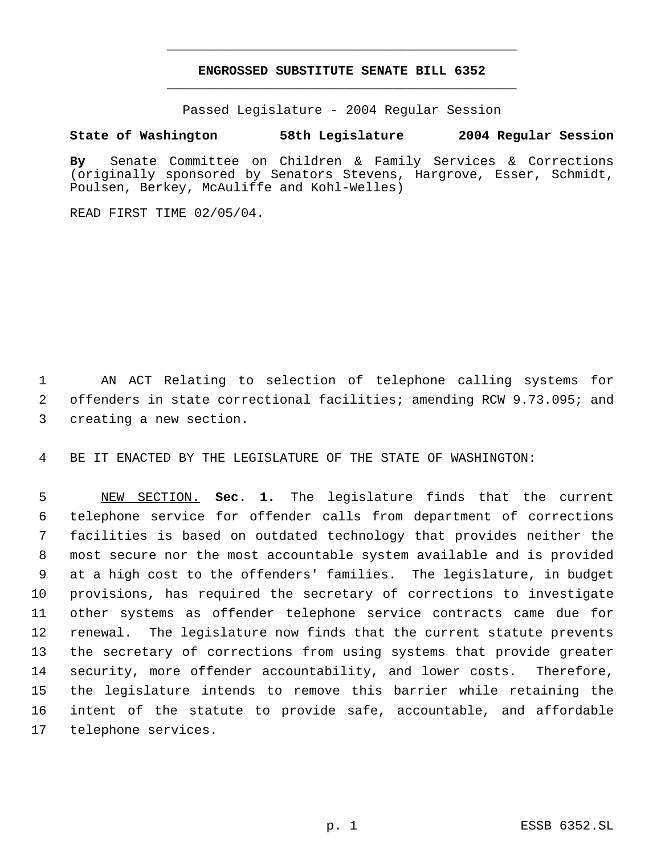## **ENGROSSED SUBSTITUTE SENATE BILL 6352** \_\_\_\_\_\_\_\_\_\_\_\_\_\_\_\_\_\_\_\_\_\_\_\_\_\_\_\_\_\_\_\_\_\_\_\_\_\_\_\_\_\_\_\_\_

\_\_\_\_\_\_\_\_\_\_\_\_\_\_\_\_\_\_\_\_\_\_\_\_\_\_\_\_\_\_\_\_\_\_\_\_\_\_\_\_\_\_\_\_\_

Passed Legislature - 2004 Regular Session

## **State of Washington 58th Legislature 2004 Regular Session**

**By** Senate Committee on Children & Family Services & Corrections (originally sponsored by Senators Stevens, Hargrove, Esser, Schmidt, Poulsen, Berkey, McAuliffe and Kohl-Welles)

READ FIRST TIME 02/05/04.

 AN ACT Relating to selection of telephone calling systems for offenders in state correctional facilities; amending RCW 9.73.095; and creating a new section.

BE IT ENACTED BY THE LEGISLATURE OF THE STATE OF WASHINGTON:

 NEW SECTION. **Sec. 1.** The legislature finds that the current telephone service for offender calls from department of corrections facilities is based on outdated technology that provides neither the most secure nor the most accountable system available and is provided at a high cost to the offenders' families. The legislature, in budget provisions, has required the secretary of corrections to investigate other systems as offender telephone service contracts came due for renewal. The legislature now finds that the current statute prevents the secretary of corrections from using systems that provide greater security, more offender accountability, and lower costs. Therefore, the legislature intends to remove this barrier while retaining the intent of the statute to provide safe, accountable, and affordable telephone services.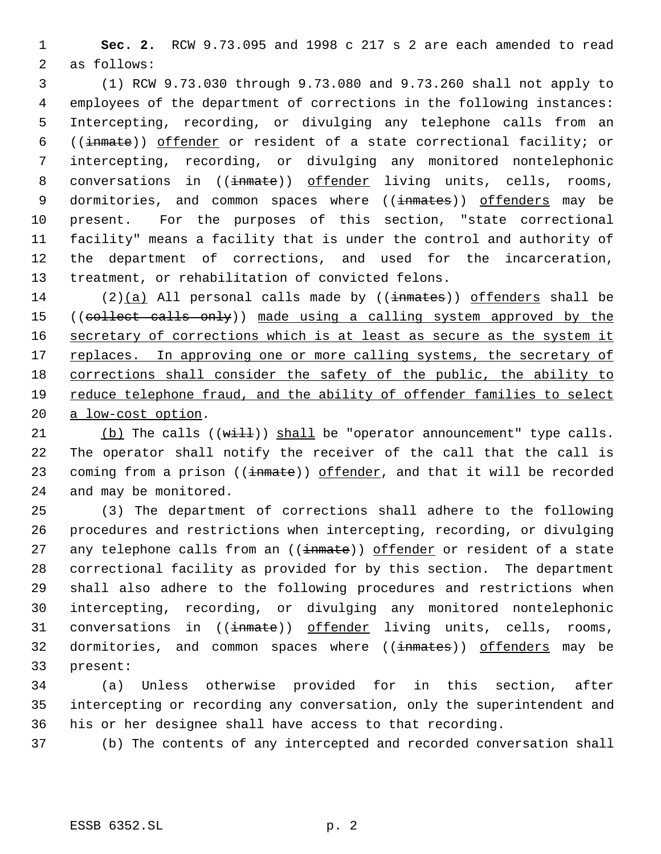**Sec. 2.** RCW 9.73.095 and 1998 c 217 s 2 are each amended to read as follows:

 (1) RCW 9.73.030 through 9.73.080 and 9.73.260 shall not apply to employees of the department of corrections in the following instances: Intercepting, recording, or divulging any telephone calls from an ((inmate)) offender or resident of a state correctional facility; or intercepting, recording, or divulging any monitored nontelephonic 8 conversations in ((inmate)) offender living units, cells, rooms, 9 dormitories, and common spaces where ((inmates)) offenders may be present. For the purposes of this section, "state correctional facility" means a facility that is under the control and authority of the department of corrections, and used for the incarceration, treatment, or rehabilitation of convicted felons.

14 (2)(a) All personal calls made by ( $(\text{imates})$ ) offenders shall be 15 ((collect calls only)) made using a calling system approved by the 16 secretary of corrections which is at least as secure as the system it 17 replaces. In approving one or more calling systems, the secretary of corrections shall consider the safety of the public, the ability to reduce telephone fraud, and the ability of offender families to select a low-cost option.

21 (b) The calls  $((\text{with})$  shall be "operator announcement" type calls. The operator shall notify the receiver of the call that the call is 23 coming from a prison ((inmate)) offender, and that it will be recorded and may be monitored.

 (3) The department of corrections shall adhere to the following procedures and restrictions when intercepting, recording, or divulging 27 any telephone calls from an ((inmate)) offender or resident of a state correctional facility as provided for by this section. The department shall also adhere to the following procedures and restrictions when intercepting, recording, or divulging any monitored nontelephonic 31 conversations in ((inmate)) offender living units, cells, rooms, 32 dormitories, and common spaces where ((inmates)) offenders may be present:

 (a) Unless otherwise provided for in this section, after intercepting or recording any conversation, only the superintendent and his or her designee shall have access to that recording.

(b) The contents of any intercepted and recorded conversation shall